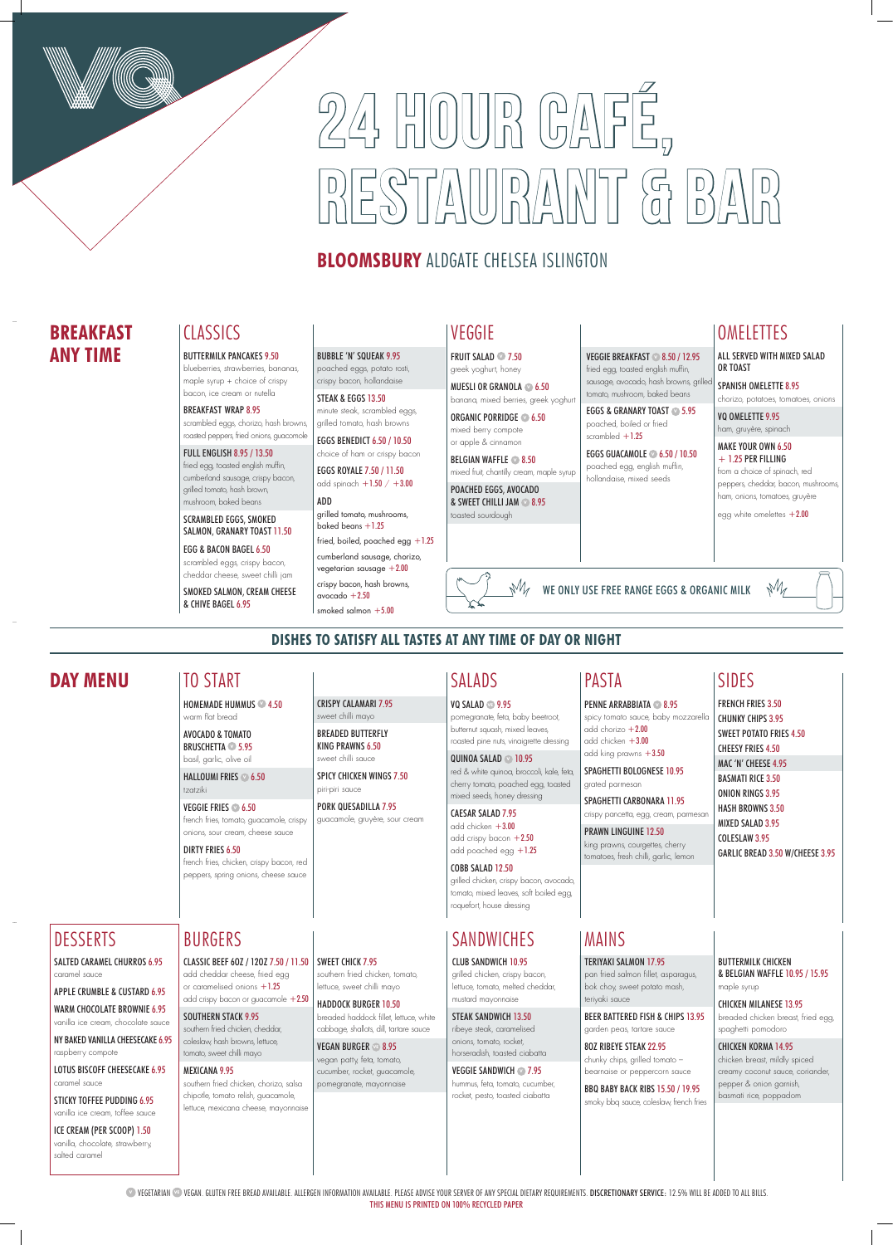## **BLOOMSBURY** ALDGATE CHELSEA ISLINGTON

# 24 HOUR CAFÉ,  $\frac{1}{2}$

**VEGETARIAN <sup>®</sup> VEGAN. GLUTEN FREE BREAD AVAILABLE. ALLERGEN INFORMATION AVAILABLE. PLEASE ADVISE YOUR SERVER OF ANY SPECIAL DIETARY REQUIREMENTS. DISCRETIONARY SERVICE: 12.5% WILL BE ADDED TO ALL BILLS.** THIS MENU IS PRINTED ON 100% RECYCLED PAPER

CLASSIC BEEF 6OZ / 12OZ 7.50 / 11.50 SWEET CHICK 7.95 add cheddar cheese, fried egg or caramelised onions  $+1.25$ add crispy bacon or guacamole +2.50

## **DISHES TO SATISFY ALL TASTES AT ANY TIME OF DAY OR NIGHT**

SOUTHERN STACK 9.95

southern fried chicken, cheddar, coleslaw, hash browns, lettuce, tomato, sweet chilli mayo

### MEXICANA 9.95

southern fried chicken, chorizo, salsa chipotle, tomato relish, guacamole, lettuce, mexicana cheese, mayonnaise

## CAESAR SALAD 7.95 add chicken  $+3.00$

add crispy bacon  $+2.50$ add poached egg +1.25

southern fried chicken, tomato, lettuce, sweet chilli mayo

HADDOCK BURGER 10.50 breaded haddock fillet, lettuce, white

cabbage, shallots, dill, tartare sauce

add chorizo  $+2.00$ add chicken +3.00 add king prawns +3.50 SPAGHETTI BOLOGNESE 10.95

SPAGHETTI CARBONARA 11.95 crispy pancetta, egg, cream, parmesar

VEGAN BURGER **VE** 8.95 vegan patty, feta, tomato, cucumber, rocket, guacamole, pomegranate, mayonnaise

## **SANDWICHES**

## BURGERS

## **DAY MENU** SIDES

FRENCH FRIES 3.50 CHUNKY CHIPS 3.95 SWEET POTATO FRIES 4.50 CHEESY FRIES 4.50 MAC 'N' CHEESE 4.95 BASMATI RICE 3.50 ONION RINGS 3.95 HASH BROWNS 3.50 MIXED SALAD 3.95

COLESLAW 3.95

GARLIC BREAD 3.50 W/CHEESE 3.95



## SALADS

VQ SALAD **VE** 9.95 pomegranate, feta, baby beetroot, butternut squash, mixed leaves, roasted pine nuts, vinaigrette dressing QUINOA SALAD **V** 10.95

> red & white quinoa, broccoli, kale, feta, cherry tomato, poached egg, toasted mixed seeds, honey dressing

## COBB SALAD 12.50

grilled chicken, crispy bacon, avocado, tomato, mixed leaves, soft boiled egg, roquefort, house dressing

VEGGIE SANDWICH **27.95** hummus, feta, tomato, cucumber, rocket, pesto, toasted ciabatta

spicy tomato sauce, baby mozzarella

grated parmesan

PRAWN LINGUINE 12.50 king prawns, courgettes, cherry tomatoes, fresh chilli, garlic, lemon

PASTA

CRISPY CALAMARI 7.95 sweet chilli mayo BREADED BUTTERFLY KING PRAWNS 6.50 sweet chilli sauce

SPICY CHICKEN WINGS 7.50

piri-piri sauce

PORK QUESADILLA 7.95 guacamole, gruyère, sour cream

TO START HOMEMADE HUMMUS **<sup>V</sup>** 4.50 EGGS ROYALE 7.50 / 11.50 add spinach  $+1.50 / +3.00$ 

warm flat bread AVOCADO & TOMATO BRUSCHETTA **<sup>V</sup>** 5.95 basil, garlic, olive oil

ADD grilled tomato, mushrooms, baked beans  $+1.25$ 

HALLOUMI FRIES **<sup>V</sup>** 6.50 tzatziki

## VEGGIE FRIES **<sup>V</sup>** 6.50

french fries, tomato, guacamole, crispy onions, sour cream, cheese sauce

### DIRTY FRIES 6.50

french fries, chicken, crispy bacon, red peppers, spring onions, cheese sauce

BELGIAN WAFFLE **2**8.50 mixed fruit, chantilly cream, maple syrup VEGGIE BREAKFAST **<sup>V</sup>** 8.50 / 12.95 fried egg, toasted english muffin, sausage, avocado, hash browns, grille tomato, mushroom, baked beans EGGS & GRANARY TOAST **<sup>V</sup>** 5.95 poached, boiled or fried scrambled  $+1.25$ 

## MAINS

TERIYAKI SALMON 17.95

pan fried salmon fillet, asparagus, bok choy, sweet potato mash, teriyaki sauce

BEER BATTERED FISH & CHIPS 13.95 garden peas, tartare sauce

SPANISH OMELETTE 8.95 chorizo, potatoes, tomatoes, onions

8OZ RIBEYE STEAK 22.95 chunky chips, grilled tomato – bearnaise or peppercorn sauce VQ OMELETTE 9.95 ham, gruyère, spinach

MAKE YOUR OWN 6.50  $+ 1.25$  PER FILLING

BBQ BABY BACK RIBS 15.50 / 19.95 smoky bbq sauce, coleslaw, french fries BUTTERMILK CHICKEN & BELGIAN WAFFLE 10.95 / 15.95 maple syrup

CHICKEN MILANESE 13.95 breaded chicken breast, fried egg, spaghetti pomodoro

CHICKEN KORMA 14.95 chicken breast, mildly spiced creamy coconut sauce, coriander, pepper & onion garnish, basmati rice, poppadom

### CLUB SANDWICH 10.95

grilled chicken, crispy bacon, lettuce, tomato, melted cheddar, mustard mayonnaise

### STEAK SANDWICH 13.50

ribeye steak, caramelised onions, tomato, rocket, horseradish, toasted ciabatta

## DESSERTS

SALTED CARAMEL CHURROS 6.95 caramel sauce

APPLE CRUMBLE & CUSTARD 6.95

WARM CHOCOLATE BROWNIE 6.95 vanilla ice cream, chocolate sauce

NY BAKED VANILLA CHEESECAKE 6.95

raspberry compote

LOTUS BISCOFF CHEESECAKE 6.95 caramel sauce

STICKY TOFFEE PUDDING 6.95 vanilla ice cream, toffee sauce

ICE CREAM (PER SCOOP) 1.50

vanilla, chocolate, strawberry, salted caramel

### BUTTERMILK PANCAKES 9.50

blueberries, strawberries, bananas, maple syrup + choice of crispy bacon, ice cream or nutella

### BREAKFAST WRAP 8.95

scrambled eggs, chorizo, hash browns, roasted peppers, fried onions, guacomole

### FULL ENGLISH 8.95 / 13.50

fried egg, toasted english muffin, cumberland sausage, crispy bacon, grilled tomato, hash brown, mushroom, baked beans

SCRAMBLED EGGS, SMOKED SALMON, GRANARY TOAST 11.50

### EGG & BACON BAGEL 6.50 scrambled eggs, crispy bacon,

cheddar cheese, sweet chilli jam SMOKED SALMON, CREAM CHEESE & CHIVE BAGEL 6.95

### BUBBLE 'N' SQUEAK 9.95

poached eggs, potato rosti, crispy bacon, hollandaise STEAK & EGGS 13.50

minute steak, scrambled eggs, grilled tomato, hash browns

EGGS BENEDICT 6.50 / 10.50 choice of ham or crispy bacon

fried, boiled, poached egg +1.25 cumberland sausage, chorizo, vegetarian sausage  $+2.00$ crispy bacon, hash browns,

avocado  $+2.50$ smoked salmon  $+5.00$ 

## CLASSICS VEGGIE

FRUIT SALAD **<sup>V</sup>** 7.50 greek yoghurt, honey

MUESLI OR GRANOLA **<sup>V</sup>** 6.50 banana, mixed berries, greek yoghurt

ORGANIC PORRIDGE **<sup>V</sup>** 6.50 mixed berry compote or apple & cinnamon

POACHED EGGS, AVOCADO & SWEET CHILLI JAM **<sup>V</sup>** 8.95 toasted sourdough

## **OMELETTES**

EGGS GUACAMOLE **<sup>V</sup>** 6.50 / 10.50 poached egg, english muffin, hollandaise, mixed seeds

**PENNE ARRABBIATA <b>2** 8.95

## **BREAKFAST ANY TIME**

ALL SERVED WITH MIXED SALAD OR TOAST

from a choice of spinach, red peppers, cheddar, bacon, mushrooms, ham, onions, tomatoes, gruyère

 $M$ 

egg white omelettes  $+2.00$ 

WE ONLY USE FREE RANGE EGGS & ORGANIC MILK